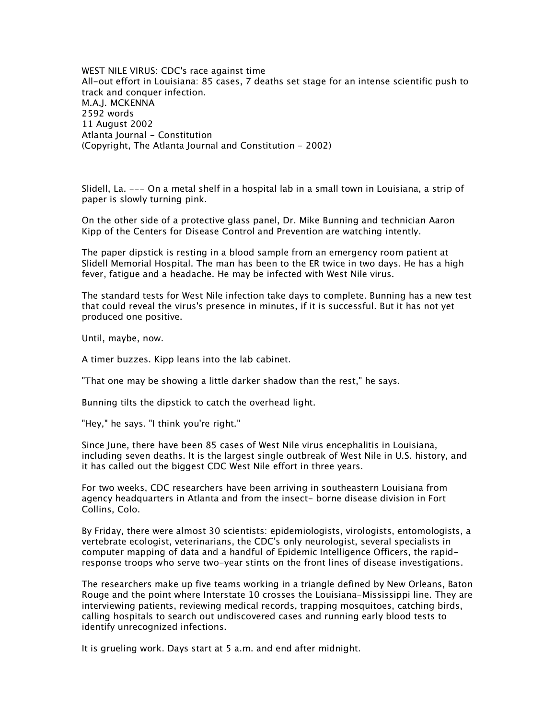*WEST NILE VIRUS: CDC's race against time All-out effort in Louisiana: 85 cases, 7 deaths set stage for an intense scientific push to track and conquer infection. M.A.J. MCKENNA 2592 words 11 August 2002 Atlanta Journal - Constitution (Copyright, The Atlanta Journal and Constitution - 2002)*

*Slidell, La. --- On a metal shelf in a hospital lab in a small town in Louisiana, a strip of paper is slowly turning pink.*

*On the other side of a protective glass panel, Dr. Mike Bunning and technician Aaron Kipp of the Centers for Disease Control and Prevention are watching intently.*

*The paper dipstick is resting in a blood sample from an emergency room patient at Slidell Memorial Hospital. The man has been to the ER twice in two days. He has a high fever, fatigue and a headache. He may be infected with West Nile virus.*

*The standard tests for West Nile infection take days to complete. Bunning has a new test that could reveal the virus's presence in minutes, if it is successful. But it has not yet produced one positive.*

*Until, maybe, now.*

*A timer buzzes. Kipp leans into the lab cabinet.*

*"That one may be showing a little darker shadow than the rest," he says.*

*Bunning tilts the dipstick to catch the overhead light.*

*"Hey," he says. "I think you're right."*

*Since June, there have been 85 cases of West Nile virus encephalitis in Louisiana, including seven deaths. It is the largest single outbreak of West Nile in U.S. history, and it has called out the biggest CDC West Nile effort in three years.*

*For two weeks, CDC researchers have been arriving in southeastern Louisiana from agency headquarters in Atlanta and from the insect- borne disease division in Fort Collins, Colo.*

*By Friday, there were almost 30 scientists: epidemiologists, virologists, entomologists, a vertebrate ecologist, veterinarians, the CDC's only neurologist, several specialists in computer mapping of data and a handful of Epidemic Intelligence Officers, the rapidresponse troops who serve two-year stints on the front lines of disease investigations.*

*The researchers make up five teams working in a triangle defined by New Orleans, Baton Rouge and the point where Interstate 10 crosses the Louisiana-Mississippi line. They are interviewing patients, reviewing medical records, trapping mosquitoes, catching birds, calling hospitals to search out undiscovered cases and running early blood tests to identify unrecognized infections.*

*It is grueling work. Days start at 5 a.m. and end after midnight.*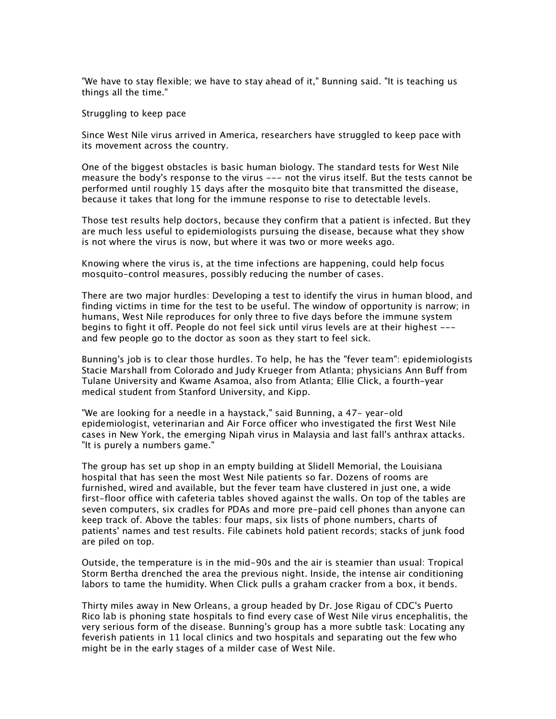*"We have to stay flexible; we have to stay ahead of it," Bunning said. "It is teaching us things all the time."*

*Struggling to keep pace*

*Since West Nile virus arrived in America, researchers have struggled to keep pace with its movement across the country.*

*One of the biggest obstacles is basic human biology. The standard tests for West Nile measure the body's response to the virus --- not the virus itself. But the tests cannot be performed until roughly 15 days after the mosquito bite that transmitted the disease, because it takes that long for the immune response to rise to detectable levels.*

*Those test results help doctors, because they confirm that a patient is infected. But they are much less useful to epidemiologists pursuing the disease, because what they show is not where the virus is now, but where it was two or more weeks ago.*

*Knowing where the virus is, at the time infections are happening, could help focus mosquito-control measures, possibly reducing the number of cases.*

*There are two major hurdles: Developing a test to identify the virus in human blood, and finding victims in time for the test to be useful. The window of opportunity is narrow; in humans, West Nile reproduces for only three to five days before the immune system begins to fight it off. People do not feel sick until virus levels are at their highest -- and few people go to the doctor as soon as they start to feel sick.*

*Bunning's job is to clear those hurdles. To help, he has the "fever team": epidemiologists Stacie Marshall from Colorado and Judy Krueger from Atlanta; physicians Ann Buff from Tulane University and Kwame Asamoa, also from Atlanta; Ellie Click, a fourth-year medical student from Stanford University, and Kipp.*

*"We are looking for a needle in a haystack," said Bunning, a 47- year-old epidemiologist, veterinarian and Air Force officer who investigated the first West Nile cases in New York, the emerging Nipah virus in Malaysia and last fall's anthrax attacks. "It is purely a numbers game."*

*The group has set up shop in an empty building at Slidell Memorial, the Louisiana hospital that has seen the most West Nile patients so far. Dozens of rooms are furnished, wired and available, but the fever team have clustered in just one, a wide first-floor office with cafeteria tables shoved against the walls. On top of the tables are seven computers, six cradles for PDAs and more pre-paid cell phones than anyone can keep track of. Above the tables: four maps, six lists of phone numbers, charts of patients' names and test results. File cabinets hold patient records; stacks of junk food are piled on top.*

*Outside, the temperature is in the mid-90s and the air is steamier than usual: Tropical Storm Bertha drenched the area the previous night. Inside, the intense air conditioning labors to tame the humidity. When Click pulls a graham cracker from a box, it bends.*

*Thirty miles away in New Orleans, a group headed by Dr. Jose Rigau of CDC's Puerto Rico lab is phoning state hospitals to find every case of West Nile virus encephalitis, the very serious form of the disease. Bunning's group has a more subtle task: Locating any feverish patients in 11 local clinics and two hospitals and separating out the few who might be in the early stages of a milder case of West Nile.*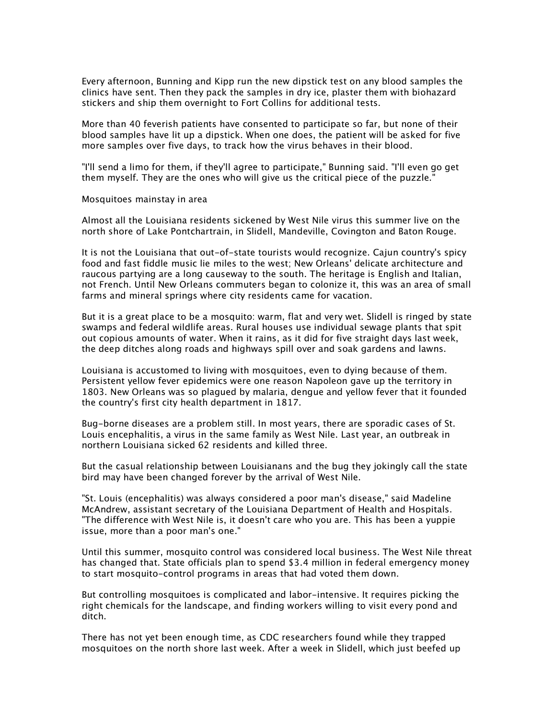*Every afternoon, Bunning and Kipp run the new dipstick test on any blood samples the clinics have sent. Then they pack the samples in dry ice, plaster them with biohazard stickers and ship them overnight to Fort Collins for additional tests.*

*More than 40 feverish patients have consented to participate so far, but none of their blood samples have lit up a dipstick. When one does, the patient will be asked for five more samples over five days, to track how the virus behaves in their blood.*

*"I'll send a limo for them, if they'll agree to participate," Bunning said. "I'll even go get them myself. They are the ones who will give us the critical piece of the puzzle."*

*Mosquitoes mainstay in area*

*Almost all the Louisiana residents sickened by West Nile virus this summer live on the north shore of Lake Pontchartrain, in Slidell, Mandeville, Covington and Baton Rouge.*

*It is not the Louisiana that out-of-state tourists would recognize. Cajun country's spicy food and fast fiddle music lie miles to the west; New Orleans' delicate architecture and raucous partying are a long causeway to the south. The heritage is English and Italian, not French. Until New Orleans commuters began to colonize it, this was an area of small farms and mineral springs where city residents came for vacation.*

*But it is a great place to be a mosquito: warm, flat and very wet. Slidell is ringed by state swamps and federal wildlife areas. Rural houses use individual sewage plants that spit out copious amounts of water. When it rains, as it did for five straight days last week, the deep ditches along roads and highways spill over and soak gardens and lawns.*

*Louisiana is accustomed to living with mosquitoes, even to dying because of them. Persistent yellow fever epidemics were one reason Napoleon gave up the territory in 1803. New Orleans was so plagued by malaria, dengue and yellow fever that it founded the country's first city health department in 1817.*

*Bug-borne diseases are a problem still. In most years, there are sporadic cases of St. Louis encephalitis, a virus in the same family as West Nile. Last year, an outbreak in northern Louisiana sicked 62 residents and killed three.*

*But the casual relationship between Louisianans and the bug they jokingly call the state bird may have been changed forever by the arrival of West Nile.*

*"St. Louis (encephalitis) was always considered a poor man's disease," said Madeline McAndrew, assistant secretary of the Louisiana Department of Health and Hospitals. "The difference with West Nile is, it doesn't care who you are. This has been a yuppie issue, more than a poor man's one."*

*Until this summer, mosquito control was considered local business. The West Nile threat has changed that. State officials plan to spend \$3.4 million in federal emergency money to start mosquito-control programs in areas that had voted them down.*

*But controlling mosquitoes is complicated and labor-intensive. It requires picking the right chemicals for the landscape, and finding workers willing to visit every pond and ditch.*

*There has not yet been enough time, as CDC researchers found while they trapped mosquitoes on the north shore last week. After a week in Slidell, which just beefed up*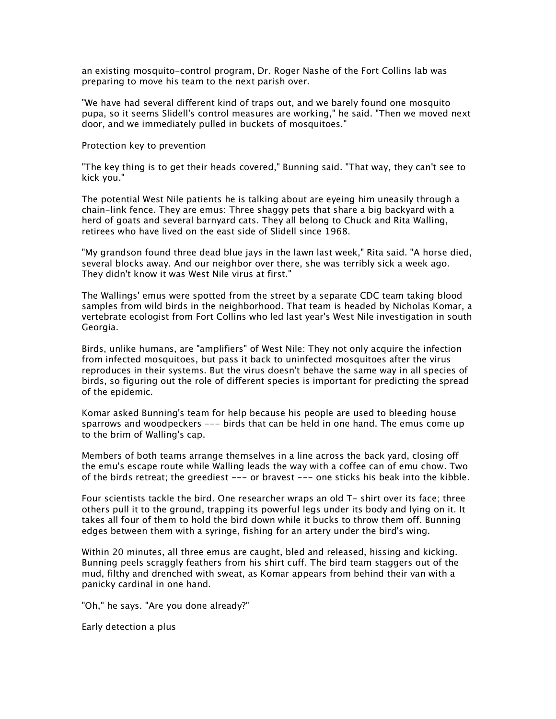*an existing mosquito-control program, Dr. Roger Nashe of the Fort Collins lab was preparing to move his team to the next parish over.*

*"We have had several different kind of traps out, and we barely found one mosquito pupa, so it seems Slidell's control measures are working," he said. "Then we moved next door, and we immediately pulled in buckets of mosquitoes."*

*Protection key to prevention*

*"The key thing is to get their heads covered," Bunning said. "That way, they can't see to kick you."*

*The potential West Nile patients he is talking about are eyeing him uneasily through a chain-link fence. They are emus: Three shaggy pets that share a big backyard with a herd of goats and several barnyard cats. They all belong to Chuck and Rita Walling, retirees who have lived on the east side of Slidell since 1968.*

*"My grandson found three dead blue jays in the lawn last week," Rita said. "A horse died, several blocks away. And our neighbor over there, she was terribly sick a week ago. They didn't know it was West Nile virus at first."*

*The Wallings' emus were spotted from the street by a separate CDC team taking blood samples from wild birds in the neighborhood. That team is headed by Nicholas Komar, a vertebrate ecologist from Fort Collins who led last year's West Nile investigation in south Georgia.*

*Birds, unlike humans, are "amplifiers" of West Nile: They not only acquire the infection from infected mosquitoes, but pass it back to uninfected mosquitoes after the virus reproduces in their systems. But the virus doesn't behave the same way in all species of birds, so figuring out the role of different species is important for predicting the spread of the epidemic.*

*Komar asked Bunning's team for help because his people are used to bleeding house sparrows and woodpeckers --- birds that can be held in one hand. The emus come up to the brim of Walling's cap.*

*Members of both teams arrange themselves in a line across the back yard, closing off the emu's escape route while Walling leads the way with a coffee can of emu chow. Two of the birds retreat; the greediest --- or bravest --- one sticks his beak into the kibble.*

*Four scientists tackle the bird. One researcher wraps an old T- shirt over its face; three others pull it to the ground, trapping its powerful legs under its body and lying on it. It takes all four of them to hold the bird down while it bucks to throw them off. Bunning edges between them with a syringe, fishing for an artery under the bird's wing.*

*Within 20 minutes, all three emus are caught, bled and released, hissing and kicking. Bunning peels scraggly feathers from his shirt cuff. The bird team staggers out of the mud, filthy and drenched with sweat, as Komar appears from behind their van with a panicky cardinal in one hand.*

*"Oh," he says. "Are you done already?"*

*Early detection a plus*